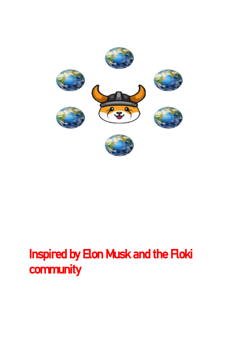

# Inspired by Elon Musk and the Floki community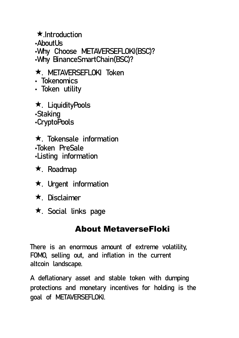★.Introduction •AboutUs •Why Choose METAVERSEFLOKI(BSC)? •Why BinanceSmartChain(BSC)?

#### ★. METAVERSEFLOKI Token

- Tokenomics
- Token utility

★. LiquidityPools •Staking •CryptoPools

★. Tokensale information •Token PreSale •Listing information

- ★. Roadmap
- ★. Urgent information
- ★. Disclaimer
- ★. Social links page

## About MetaverseFloki

There is an enormous amount of extreme volatility, FOMO, selling out, and inflation in the current altcoin landscape.

A deflationary asset and stable token with dumping protections and monetary incentives for holding is the goal of METAVERSEFLOKI.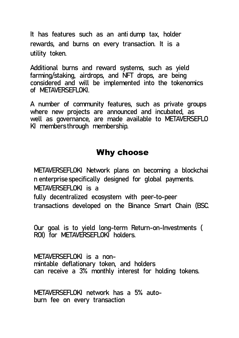It has features such as an anti dump tax, holder rewards, and burns on every transaction. It is a utility token.

Additional burns and reward systems, such as yield farming/staking, airdrops, and NFT drops, are being considered and will be implemented into the tokenomics of METAVERSEFLOKI.

A number of community features, such as private groups where new projects are announced and incubated, as well as governance, are made available to METAVERSEFLO KI members through membership.

#### Why choose

METAVERSEFLOKI Network plans on becoming a blockchai n enterprise specifically designed for global payments. METAVERSEFLOKI is a fully decentralized ecosystem with peer-to-peer

transactions developed on the Binance Smart Chain (BSC.

Our goal is to yield long-term Return-on-Investments ( ROI) for METAVERSEFLOKI holders.

METAVERSEFLOKI is a nonmintable deflationary token, and holders can receive a 3% monthly interest for holding tokens.

METAVERSEFLOKI network has a 5% autoburn fee on every transaction